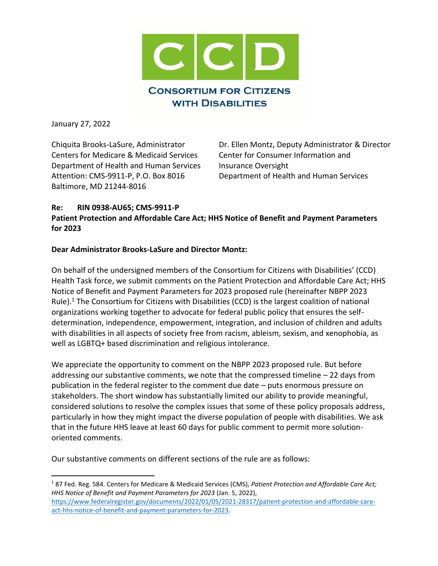

January 27, 2022

l

Centers for Medicare & Medicaid Services Center for Consumer Information and Department of Health and Human Services Insurance Oversight Attention: CMS-9911-P, P.O. Box 8016 Department of Health and Human Services Baltimore, MD 21244-8016

Chiquita Brooks-LaSure, Administrator Dr. Ellen Montz, Deputy Administrator & Director

#### **Re: RIN 0938-AU65; CMS-9911-P Patient Protection and Affordable Care Act; HHS Notice of Benefit and Payment Parameters for 2023**

# **Dear Administrator Brooks-LaSure and Director Montz:**

On behalf of the undersigned members of the Consortium for Citizens with Disabilities' (CCD) Health Task force, we submit comments on the Patient Protection and Affordable Care Act; HHS Notice of Benefit and Payment Parameters for 2023 proposed rule (hereinafter NBPP 2023 Rule). <sup>1</sup> The Consortium for Citizens with Disabilities (CCD) is the largest coalition of national organizations working together to advocate for federal public policy that ensures the selfdetermination, independence, empowerment, integration, and inclusion of children and adults with disabilities in all aspects of society free from racism, ableism, sexism, and xenophobia, as well as LGBTQ+ based discrimination and religious intolerance.

We appreciate the opportunity to comment on the NBPP 2023 proposed rule. But before addressing our substantive comments, we note that the compressed timeline – 22 days from publication in the federal register to the comment due date – puts enormous pressure on stakeholders. The short window has substantially limited our ability to provide meaningful, considered solutions to resolve the complex issues that some of these policy proposals address, particularly in how they might impact the diverse population of people with disabilities. We ask that in the future HHS leave at least 60 days for public comment to permit more solutionoriented comments.

Our substantive comments on different sections of the rule are as follows:

<sup>1</sup> 87 Fed. Reg. 584. Centers for Medicare & Medicaid Services (CMS), *Patient Protection and Affordable Care Act; HHS Notice of Benefit and Payment Parameters for 2023* (Jan. 5, 2022), [https://www.federalregister.gov/documents/2022/01/05/2021-28317/patient-protection-and-affordable-care](https://www.federalregister.gov/documents/2022/01/05/2021-28317/patient-protection-and-affordable-care-act-hhs-notice-of-benefit-and-payment-parameters-for-2023)[act-hhs-notice-of-benefit-and-payment-parameters-for-2023.](https://www.federalregister.gov/documents/2022/01/05/2021-28317/patient-protection-and-affordable-care-act-hhs-notice-of-benefit-and-payment-parameters-for-2023)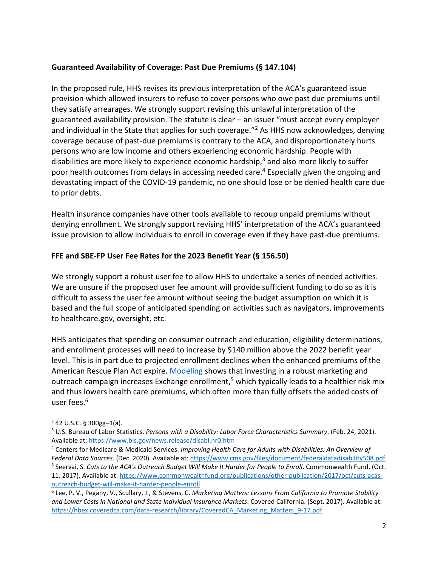# **Guaranteed Availability of Coverage: Past Due Premiums (§ 147.104)**

In the proposed rule, HHS revises its previous interpretation of the ACA's guaranteed issue provision which allowed insurers to refuse to cover persons who owe past due premiums until they satisfy arrearages. We strongly support revising this unlawful interpretation of the guaranteed availability provision. The statute is clear – an issuer "must accept every employer and individual in the State that applies for such coverage."<sup>2</sup> As HHS now acknowledges, denying coverage because of past-due premiums is contrary to the ACA, and disproportionately hurts persons who are low income and others experiencing economic hardship. People with disabilities are more likely to experience economic hardship, $3$  and also more likely to suffer poor health outcomes from delays in accessing needed care.<sup>4</sup> Especially given the ongoing and devastating impact of the COVID-19 pandemic, no one should lose or be denied health care due to prior debts.

Health insurance companies have other tools available to recoup unpaid premiums without denying enrollment. We strongly support revising HHS' interpretation of the ACA's guaranteed issue provision to allow individuals to enroll in coverage even if they have past-due premiums.

# **FFE and SBE-FP User Fee Rates for the 2023 Benefit Year (§ 156.50)**

We strongly support a robust user fee to allow HHS to undertake a series of needed activities. We are unsure if the proposed user fee amount will provide sufficient funding to do so as it is difficult to assess the user fee amount without seeing the budget assumption on which it is based and the full scope of anticipated spending on activities such as navigators, improvements to healthcare.gov, oversight, etc.

HHS anticipates that spending on consumer outreach and education, eligibility determinations, and enrollment processes will need to increase by \$140 million above the 2022 benefit year level. This is in part due to projected enrollment declines when the enhanced premiums of the American Rescue Plan Act expire. [Modeling](https://hbex.coveredca.com/data-research/library/CoveredCA_Marketing_Matters_9-17.pdf) shows that investing in a robust marketing and outreach campaign increases Exchange enrollment,<sup>5</sup> which typically leads to a healthier risk mix and thus lowers health care premiums, which often more than fully offsets the added costs of user fees. 6

 $\overline{\phantom{a}}$ 

 $2$  42 U.S.C. § 300gg-1(a).

<sup>3</sup> U.S. Bureau of Labor Statistics. *Persons with a Disability: Labor Force Characteristics Summary*. (Feb. 24, 2021). Available at:<https://www.bls.gov/news.release/disabl.nr0.htm>

<sup>4</sup> Centers for Medicare & Medicaid Services. *Improving Health Care for Adults with Disabilities: An Overview of* 

*Federal Data Sources*. (Dec. 2020). Available at: <https://www.cms.gov/files/document/federaldatadisability508.pdf> 5 Seervai, S. *Cuts to the ACA's Outreach Budget Will Make It Harder for People to Enroll*. Commonwealth Fund. (Oct. 11, 2017). Available at: [https://www.commonwealthfund.org/publications/other-publication/2017/oct/cuts-acas](https://www.commonwealthfund.org/publications/other-publication/2017/oct/cuts-acas-outreach-budget-will-make-it-harder-people-enroll)[outreach-budget-will-make-it-harder-people-enroll](https://www.commonwealthfund.org/publications/other-publication/2017/oct/cuts-acas-outreach-budget-will-make-it-harder-people-enroll)

<sup>6</sup> Lee, P. V., Pegany, V., Scullary, J., & Stevens, C. *Marketing Matters: Lessons From California to Promote Stability and Lower Costs in National and State Individual Insurance Markets*. Covered California. (Sept. 2017). Available at: [https://hbex.coveredca.com/data-research/library/CoveredCA\\_Marketing\\_Matters\\_9-17.pdf.](https://hbex.coveredca.com/data-research/library/CoveredCA_Marketing_Matters_9-17.pdf)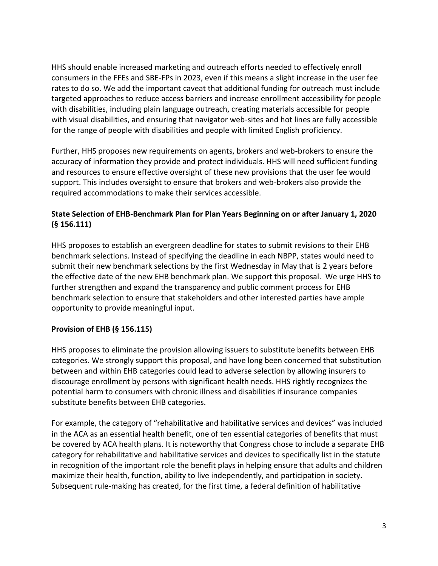HHS should enable increased marketing and outreach efforts needed to effectively enroll consumers in the FFEs and SBE-FPs in 2023, even if this means a slight increase in the user fee rates to do so. We add the important caveat that additional funding for outreach must include targeted approaches to reduce access barriers and increase enrollment accessibility for people with disabilities, including plain language outreach, creating materials accessible for people with visual disabilities, and ensuring that navigator web-sites and hot lines are fully accessible for the range of people with disabilities and people with limited English proficiency.

Further, HHS proposes new requirements on agents, brokers and web-brokers to ensure the accuracy of information they provide and protect individuals. HHS will need sufficient funding and resources to ensure effective oversight of these new provisions that the user fee would support. This includes oversight to ensure that brokers and web-brokers also provide the required accommodations to make their services accessible.

# **State Selection of EHB-Benchmark Plan for Plan Years Beginning on or after January 1, 2020 (§ 156.111)**

HHS proposes to establish an evergreen deadline for states to submit revisions to their EHB benchmark selections. Instead of specifying the deadline in each NBPP, states would need to submit their new benchmark selections by the first Wednesday in May that is 2 years before the effective date of the new EHB benchmark plan. We support this proposal. We urge HHS to further strengthen and expand the transparency and public comment process for EHB benchmark selection to ensure that stakeholders and other interested parties have ample opportunity to provide meaningful input.

# **Provision of EHB (§ 156.115)**

HHS proposes to eliminate the provision allowing issuers to substitute benefits between EHB categories. We strongly support this proposal, and have long been concerned that substitution between and within EHB categories could lead to adverse selection by allowing insurers to discourage enrollment by persons with significant health needs. HHS rightly recognizes the potential harm to consumers with chronic illness and disabilities if insurance companies substitute benefits between EHB categories.

For example, the category of "rehabilitative and habilitative services and devices" was included in the ACA as an essential health benefit, one of ten essential categories of benefits that must be covered by ACA health plans. It is noteworthy that Congress chose to include a separate EHB category for rehabilitative and habilitative services and devices to specifically list in the statute in recognition of the important role the benefit plays in helping ensure that adults and children maximize their health, function, ability to live independently, and participation in society. Subsequent rule-making has created, for the first time, a federal definition of habilitative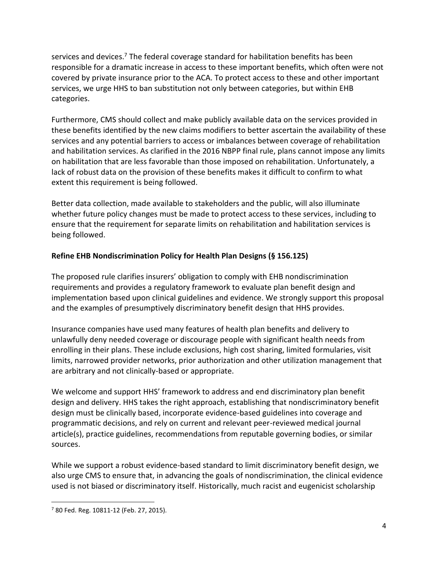services and devices.<sup>7</sup> The federal coverage standard for habilitation benefits has been responsible for a dramatic increase in access to these important benefits, which often were not covered by private insurance prior to the ACA. To protect access to these and other important services, we urge HHS to ban substitution not only between categories, but within EHB categories.

Furthermore, CMS should collect and make publicly available data on the services provided in these benefits identified by the new claims modifiers to better ascertain the availability of these services and any potential barriers to access or imbalances between coverage of rehabilitation and habilitation services. As clarified in the 2016 NBPP final rule, plans cannot impose any limits on habilitation that are less favorable than those imposed on rehabilitation. Unfortunately, a lack of robust data on the provision of these benefits makes it difficult to confirm to what extent this requirement is being followed.

Better data collection, made available to stakeholders and the public, will also illuminate whether future policy changes must be made to protect access to these services, including to ensure that the requirement for separate limits on rehabilitation and habilitation services is being followed.

# **Refine EHB Nondiscrimination Policy for Health Plan Designs (§ 156.125)**

The proposed rule clarifies insurers' obligation to comply with EHB nondiscrimination requirements and provides a regulatory framework to evaluate plan benefit design and implementation based upon clinical guidelines and evidence. We strongly support this proposal and the examples of presumptively discriminatory benefit design that HHS provides.

Insurance companies have used many features of health plan benefits and delivery to unlawfully deny needed coverage or discourage people with significant health needs from enrolling in their plans. These include exclusions, high cost sharing, limited formularies, visit limits, narrowed provider networks, prior authorization and other utilization management that are arbitrary and not clinically-based or appropriate.

We welcome and support HHS' framework to address and end discriminatory plan benefit design and delivery. HHS takes the right approach, establishing that nondiscriminatory benefit design must be clinically based, incorporate evidence-based guidelines into coverage and programmatic decisions, and rely on current and relevant peer-reviewed medical journal article(s), practice guidelines, recommendations from reputable governing bodies, or similar sources.

While we support a robust evidence-based standard to limit discriminatory benefit design, we also urge CMS to ensure that, in advancing the goals of nondiscrimination, the clinical evidence used is not biased or discriminatory itself. Historically, much racist and eugenicist scholarship

 $\overline{\phantom{a}}$ 

<sup>7</sup> 80 Fed. Reg. 10811-12 (Feb. 27, 2015).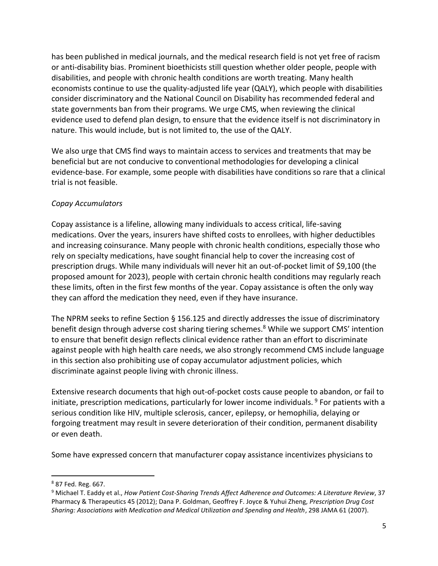has been published in medical journals, and the medical research field is not yet free of racism or anti-disability bias. Prominent bioethicists still question whether older people, people with disabilities, and people with chronic health conditions are worth treating. Many health economists continue to use the quality-adjusted life year (QALY), which people with disabilities consider discriminatory and the National Council on Disability has recommended federal and state governments ban from their programs. We urge CMS, when reviewing the clinical evidence used to defend plan design, to ensure that the evidence itself is not discriminatory in nature. This would include, but is not limited to, the use of the QALY.

We also urge that CMS find ways to maintain access to services and treatments that may be beneficial but are not conducive to conventional methodologies for developing a clinical evidence-base. For example, some people with disabilities have conditions so rare that a clinical trial is not feasible.

#### *Copay Accumulators*

Copay assistance is a lifeline, allowing many individuals to access critical, life-saving medications. Over the years, insurers have shifted costs to enrollees, with higher deductibles and increasing coinsurance. Many people with chronic health conditions, especially those who rely on specialty medications, have sought financial help to cover the increasing cost of prescription drugs. While many individuals will never hit an out-of-pocket limit of \$9,100 (the proposed amount for 2023), people with certain chronic health conditions may regularly reach these limits, often in the first few months of the year. Copay assistance is often the only way they can afford the medication they need, even if they have insurance.

The NPRM seeks to refine Section § 156.125 and directly addresses the issue of discriminatory benefit design through adverse cost sharing tiering schemes.<sup>8</sup> While we support CMS' intention to ensure that benefit design reflects clinical evidence rather than an effort to discriminate against people with high health care needs, we also strongly recommend CMS include language in this section also prohibiting use of copay accumulator adjustment policies, which discriminate against people living with chronic illness.

Extensive research documents that high out-of-pocket costs cause people to abandon, or fail to initiate, prescription medications, particularly for lower income individuals.  $9$  For patients with a serious condition like HIV, multiple sclerosis, cancer, epilepsy, or hemophilia, delaying or forgoing treatment may result in severe deterioration of their condition, permanent disability or even death.

Some have expressed concern that manufacturer copay assistance incentivizes physicians to

l

<sup>8</sup> 87 Fed. Reg. 667.

<sup>9</sup> Michael T. Eaddy et al., *How Patient Cost-Sharing Trends Affect Adherence and Outcomes: A Literature Review*, 37 Pharmacy & Therapeutics 45 (2012); Dana P. Goldman, Geoffrey F. Joyce & Yuhui Zheng, *Prescription Drug Cost Sharing: Associations with Medication and Medical Utilization and Spending and Health*, 298 JAMA 61 (2007).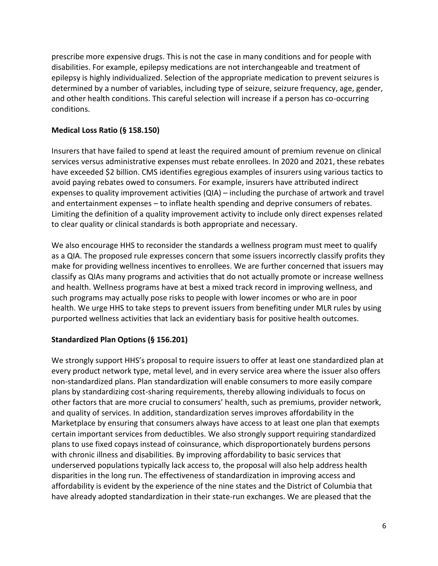prescribe more expensive drugs. This is not the case in many conditions and for people with disabilities. For example, epilepsy medications are not interchangeable and treatment of epilepsy is highly individualized. Selection of the appropriate medication to prevent seizures is determined by a number of variables, including type of seizure, seizure frequency, age, gender, and other health conditions. This careful selection will increase if a person has co-occurring conditions.

# **Medical Loss Ratio (§ 158.150)**

Insurers that have failed to spend at least the required amount of premium revenue on clinical services versus administrative expenses must rebate enrollees. In 2020 and 2021, these rebates have exceeded \$2 billion. CMS identifies egregious examples of insurers using various tactics to avoid paying rebates owed to consumers. For example, insurers have attributed indirect expenses to quality improvement activities (QIA) – including the purchase of artwork and travel and entertainment expenses – to inflate health spending and deprive consumers of rebates. Limiting the definition of a quality improvement activity to include only direct expenses related to clear quality or clinical standards is both appropriate and necessary.

We also encourage HHS to reconsider the standards a wellness program must meet to qualify as a QIA. The proposed rule expresses concern that some issuers incorrectly classify profits they make for providing wellness incentives to enrollees. We are further concerned that issuers may classify as QIAs many programs and activities that do not actually promote or increase wellness and health. Wellness programs have at best a mixed track record in improving wellness, and such programs may actually pose risks to people with lower incomes or who are in poor health. We urge HHS to take steps to prevent issuers from benefiting under MLR rules by using purported wellness activities that lack an evidentiary basis for positive health outcomes.

# **Standardized Plan Options (§ 156.201)**

We strongly support HHS's proposal to require issuers to offer at least one standardized plan at every product network type, metal level, and in every service area where the issuer also offers non-standardized plans. Plan standardization will enable consumers to more easily compare plans by standardizing cost-sharing requirements, thereby allowing individuals to focus on other factors that are more crucial to consumers' health, such as premiums, provider network, and quality of services. In addition, standardization serves improves affordability in the Marketplace by ensuring that consumers always have access to at least one plan that exempts certain important services from deductibles. We also strongly support requiring standardized plans to use fixed copays instead of coinsurance, which disproportionately burdens persons with chronic illness and disabilities. By improving affordability to basic services that underserved populations typically lack access to, the proposal will also help address health disparities in the long run. The effectiveness of standardization in improving access and affordability is evident by the experience of the nine states and the District of Columbia that have already adopted standardization in their state-run exchanges. We are pleased that the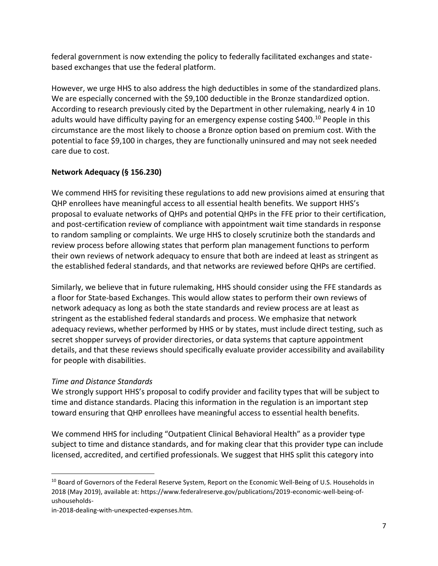federal government is now extending the policy to federally facilitated exchanges and statebased exchanges that use the federal platform.

However, we urge HHS to also address the high deductibles in some of the standardized plans. We are especially concerned with the \$9,100 deductible in the Bronze standardized option. According to research previously cited by the Department in other rulemaking, nearly 4 in 10 adults would have difficulty paying for an emergency expense costing \$400.<sup>10</sup> People in this circumstance are the most likely to choose a Bronze option based on premium cost. With the potential to face \$9,100 in charges, they are functionally uninsured and may not seek needed care due to cost.

# **Network Adequacy (§ 156.230)**

We commend HHS for revisiting these regulations to add new provisions aimed at ensuring that QHP enrollees have meaningful access to all essential health benefits. We support HHS's proposal to evaluate networks of QHPs and potential QHPs in the FFE prior to their certification, and post-certification review of compliance with appointment wait time standards in response to random sampling or complaints. We urge HHS to closely scrutinize both the standards and review process before allowing states that perform plan management functions to perform their own reviews of network adequacy to ensure that both are indeed at least as stringent as the established federal standards, and that networks are reviewed before QHPs are certified.

Similarly, we believe that in future rulemaking, HHS should consider using the FFE standards as a floor for State-based Exchanges. This would allow states to perform their own reviews of network adequacy as long as both the state standards and review process are at least as stringent as the established federal standards and process. We emphasize that network adequacy reviews, whether performed by HHS or by states, must include direct testing, such as secret shopper surveys of provider directories, or data systems that capture appointment details, and that these reviews should specifically evaluate provider accessibility and availability for people with disabilities.

# *Time and Distance Standards*

 $\overline{\phantom{a}}$ 

We strongly support HHS's proposal to codify provider and facility types that will be subject to time and distance standards. Placing this information in the regulation is an important step toward ensuring that QHP enrollees have meaningful access to essential health benefits.

We commend HHS for including "Outpatient Clinical Behavioral Health" as a provider type subject to time and distance standards, and for making clear that this provider type can include licensed, accredited, and certified professionals. We suggest that HHS split this category into

<sup>&</sup>lt;sup>10</sup> Board of Governors of the Federal Reserve System, Report on the Economic Well-Being of U.S. Households in 2018 (May 2019), available at: https://www.federalreserve.gov/publications/2019-economic-well-being-ofushouseholds-

in-2018-dealing-with-unexpected-expenses.htm.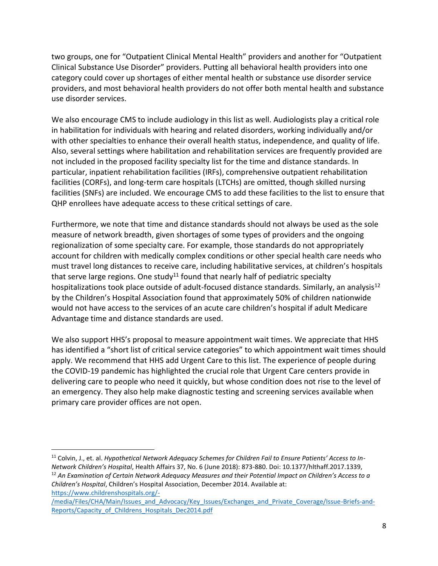two groups, one for "Outpatient Clinical Mental Health" providers and another for "Outpatient Clinical Substance Use Disorder" providers. Putting all behavioral health providers into one category could cover up shortages of either mental health or substance use disorder service providers, and most behavioral health providers do not offer both mental health and substance use disorder services.

We also encourage CMS to include audiology in this list as well. Audiologists play a critical role in habilitation for individuals with hearing and related disorders, working individually and/or with other specialties to enhance their overall health status, independence, and quality of life. Also, several settings where habilitation and rehabilitation services are frequently provided are not included in the proposed facility specialty list for the time and distance standards. In particular, inpatient rehabilitation facilities (IRFs), comprehensive outpatient rehabilitation facilities (CORFs), and long-term care hospitals (LTCHs) are omitted, though skilled nursing facilities (SNFs) are included. We encourage CMS to add these facilities to the list to ensure that QHP enrollees have adequate access to these critical settings of care.

Furthermore, we note that time and distance standards should not always be used as the sole measure of network breadth, given shortages of some types of providers and the ongoing regionalization of some specialty care. For example, those standards do not appropriately account for children with medically complex conditions or other special health care needs who must travel long distances to receive care, including habilitative services, at children's hospitals that serve large regions. One study<sup>11</sup> found that nearly half of pediatric specialty hospitalizations took place outside of adult-focused distance standards. Similarly, an analysis<sup>12</sup> by the Children's Hospital Association found that approximately 50% of children nationwide would not have access to the services of an acute care children's hospital if adult Medicare Advantage time and distance standards are used.

We also support HHS's proposal to measure appointment wait times. We appreciate that HHS has identified a "short list of critical service categories" to which appointment wait times should apply. We recommend that HHS add Urgent Care to this list. The experience of people during the COVID-19 pandemic has highlighted the crucial role that Urgent Care centers provide in delivering care to people who need it quickly, but whose condition does not rise to the level of an emergency. They also help make diagnostic testing and screening services available when primary care provider offices are not open.

[https://www.childrenshospitals.org/-](https://www.childrenshospitals.org/-/media/Files/CHA/Main/Issues_and_Advocacy/Key_Issues/Exchanges_and_Private_Coverage/Issue-Briefs-and-Reports/Capacity_of_Childrens_Hospitals_Dec2014.pdf)

 $\overline{\phantom{a}}$ 

<sup>11</sup> Colvin, J., et. al. *Hypothetical Network Adequacy Schemes for Children Fail to Ensure Patients' Access to In-Network Children's Hospital*, Health Affairs 37, No. 6 (June 2018): 873-880. Doi: 10.1377/hlthaff.2017.1339, <sup>12</sup> *An Examination of Certain Network Adequacy Measures and their Potential Impact on Children's Access to a Children's Hospital*, Children's Hospital Association, December 2014. Available at:

[<sup>/</sup>media/Files/CHA/Main/Issues\\_and\\_Advocacy/Key\\_Issues/Exchanges\\_and\\_Private\\_Coverage/Issue-Briefs-and-](https://www.childrenshospitals.org/-/media/Files/CHA/Main/Issues_and_Advocacy/Key_Issues/Exchanges_and_Private_Coverage/Issue-Briefs-and-Reports/Capacity_of_Childrens_Hospitals_Dec2014.pdf)[Reports/Capacity\\_of\\_Childrens\\_Hospitals\\_Dec2014.pdf](https://www.childrenshospitals.org/-/media/Files/CHA/Main/Issues_and_Advocacy/Key_Issues/Exchanges_and_Private_Coverage/Issue-Briefs-and-Reports/Capacity_of_Childrens_Hospitals_Dec2014.pdf)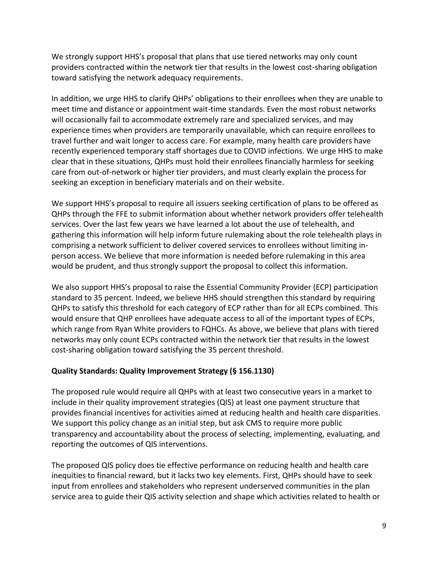We strongly support HHS's proposal that plans that use tiered networks may only count providers contracted within the network tier that results in the lowest cost-sharing obligation toward satisfying the network adequacy requirements.

In addition, we urge HHS to clarify QHPs' obligations to their enrollees when they are unable to meet time and distance or appointment wait-time standards. Even the most robust networks will occasionally fail to accommodate extremely rare and specialized services, and may experience times when providers are temporarily unavailable, which can require enrollees to travel further and wait longer to access care. For example, many health care providers have recently experienced temporary staff shortages due to COVID infections. We urge HHS to make clear that in these situations, QHPs must hold their enrollees financially harmless for seeking care from out-of-network or higher tier providers, and must clearly explain the process for seeking an exception in beneficiary materials and on their website.

We support HHS's proposal to require all issuers seeking certification of plans to be offered as QHPs through the FFE to submit information about whether network providers offer telehealth services. Over the last few years we have learned a lot about the use of telehealth, and gathering this information will help inform future rulemaking about the role telehealth plays in comprising a network sufficient to deliver covered services to enrollees without limiting inperson access. We believe that more information is needed before rulemaking in this area would be prudent, and thus strongly support the proposal to collect this information.

We also support HHS's proposal to raise the Essential Community Provider (ECP) participation standard to 35 percent. Indeed, we believe HHS should strengthen this standard by requiring QHPs to satisfy this threshold for each category of ECP rather than for all ECPs combined. This would ensure that QHP enrollees have adequate access to all of the important types of ECPs, which range from Ryan White providers to FQHCs. As above, we believe that plans with tiered networks may only count ECPs contracted within the network tier that results in the lowest cost-sharing obligation toward satisfying the 35 percent threshold.

# **Quality Standards: Quality Improvement Strategy (§ 156.1130)**

The proposed rule would require all QHPs with at least two consecutive years in a market to include in their quality improvement strategies (QIS) at least one payment structure that provides financial incentives for activities aimed at reducing health and health care disparities. We support this policy change as an initial step, but ask CMS to require more public transparency and accountability about the process of selecting, implementing, evaluating, and reporting the outcomes of QIS interventions.

The proposed QIS policy does tie effective performance on reducing health and health care inequities to financial reward, but it lacks two key elements. First, QHPs should have to seek input from enrollees and stakeholders who represent underserved communities in the plan service area to guide their QIS activity selection and shape which activities related to health or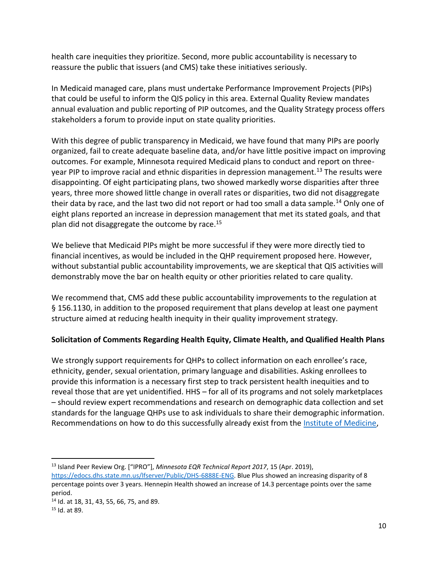health care inequities they prioritize. Second, more public accountability is necessary to reassure the public that issuers (and CMS) take these initiatives seriously.

In Medicaid managed care, plans must undertake Performance Improvement Projects (PIPs) that could be useful to inform the QIS policy in this area. External Quality Review mandates annual evaluation and public reporting of PIP outcomes, and the Quality Strategy process offers stakeholders a forum to provide input on state quality priorities.

With this degree of public transparency in Medicaid, we have found that many PIPs are poorly organized, fail to create adequate baseline data, and/or have little positive impact on improving outcomes. For example, Minnesota required Medicaid plans to conduct and report on threeyear PIP to improve racial and ethnic disparities in depression management.<sup>13</sup> The results were disappointing. Of eight participating plans, two showed markedly worse disparities after three years, three more showed little change in overall rates or disparities, two did not disaggregate their data by race, and the last two did not report or had too small a data sample.<sup>14</sup> Only one of eight plans reported an increase in depression management that met its stated goals, and that plan did not disaggregate the outcome by race.<sup>15</sup>

We believe that Medicaid PIPs might be more successful if they were more directly tied to financial incentives, as would be included in the QHP requirement proposed here. However, without substantial public accountability improvements, we are skeptical that QIS activities will demonstrably move the bar on health equity or other priorities related to care quality.

We recommend that, CMS add these public accountability improvements to the regulation at § 156.1130, in addition to the proposed requirement that plans develop at least one payment structure aimed at reducing health inequity in their quality improvement strategy.

# **Solicitation of Comments Regarding Health Equity, Climate Health, and Qualified Health Plans**

We strongly support requirements for QHPs to collect information on each enrollee's race, ethnicity, gender, sexual orientation, primary language and disabilities. Asking enrollees to provide this information is a necessary first step to track persistent health inequities and to reveal those that are yet unidentified. HHS – for all of its programs and not solely marketplaces – should review expert recommendations and research on demographic data collection and set standards for the language QHPs use to ask individuals to share their demographic information. Recommendations on how to do this successfully already exist from the [Institute of Medicine,](https://www.ahrq.gov/research/findings/final-reports/iomracereport/reldatasum.html)

l <sup>13</sup> Island Peer Review Org. ["IPRO"], *Minnesota EQR Technical Report 2017*, 15 (Apr. 2019),

[https://edocs.dhs.state.mn.us/lfserver/Public/DHS-6888E-ENG.](https://edocs.dhs.state.mn.us/lfserver/Public/DHS-6888E-ENG) Blue Plus showed an increasing disparity of 8 percentage points over 3 years. Hennepin Health showed an increase of 14.3 percentage points over the same period.

<sup>14</sup> Id. at 18, 31, 43, 55, 66, 75, and 89.

<sup>15</sup> Id. at 89.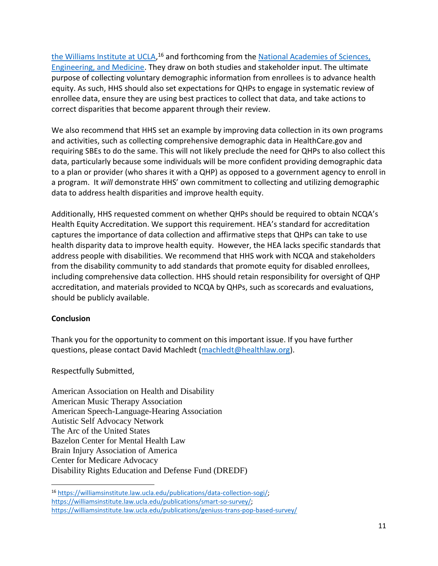[the Williams Institute at UCLA,](https://williamsinstitute.law.ucla.edu/)<sup>16</sup> and forthcoming from the National Academies of Sciences, [Engineering, and Medicine.](https://www.ahrq.gov/research/findings/final-reports/iomracereport/reldatasum.html) They draw on both studies and stakeholder input. The ultimate purpose of collecting voluntary demographic information from enrollees is to advance health equity. As such, HHS should also set expectations for QHPs to engage in systematic review of enrollee data, ensure they are using best practices to collect that data, and take actions to correct disparities that become apparent through their review.

We also recommend that HHS set an example by improving data collection in its own programs and activities, such as collecting comprehensive demographic data in HealthCare.gov and requiring SBEs to do the same. This will not likely preclude the need for QHPs to also collect this data, particularly because some individuals will be more confident providing demographic data to a plan or provider (who shares it with a QHP) as opposed to a government agency to enroll in a program. It *will* demonstrate HHS' own commitment to collecting and utilizing demographic data to address health disparities and improve health equity.

Additionally, HHS requested comment on whether QHPs should be required to obtain NCQA's Health Equity Accreditation. We support this requirement. HEA's standard for accreditation captures the importance of data collection and affirmative steps that QHPs can take to use health disparity data to improve health equity. However, the HEA lacks specific standards that address people with disabilities. We recommend that HHS work with NCQA and stakeholders from the disability community to add standards that promote equity for disabled enrollees, including comprehensive data collection. HHS should retain responsibility for oversight of QHP accreditation, and materials provided to NCQA by QHPs, such as scorecards and evaluations, should be publicly available.

# **Conclusion**

 $\overline{a}$ 

Thank you for the opportunity to comment on this important issue. If you have further questions, please contact David Machledt [\(machledt@healthlaw.org\)](mailto:machledt@healthlaw.org).

Respectfully Submitted,

American Association on Health and Disability American Music Therapy Association American Speech-Language-Hearing Association Autistic Self Advocacy Network The Arc of the United States Bazelon Center for Mental Health Law Brain Injury Association of America Center for Medicare Advocacy Disability Rights Education and Defense Fund (DREDF)

<sup>16</sup> [https://williamsinstitute.law.ucla.edu/publications/data-collection-sogi/;](https://williamsinstitute.law.ucla.edu/publications/data-collection-sogi/)  [https://williamsinstitute.law.ucla.edu/publications/smart-so-survey/;](https://williamsinstitute.law.ucla.edu/publications/smart-so-survey/) <https://williamsinstitute.law.ucla.edu/publications/geniuss-trans-pop-based-survey/>